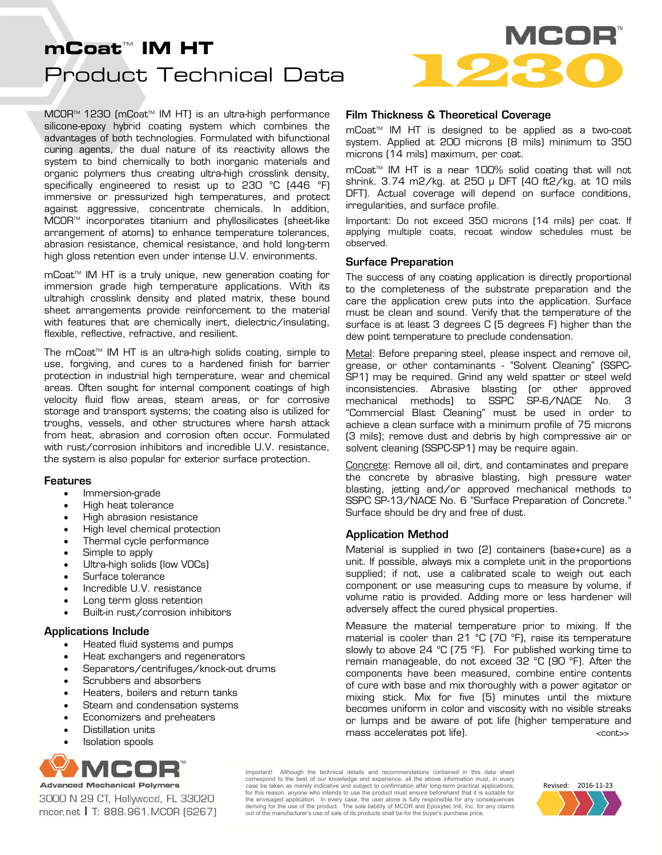# Product Technical Data **mCoat™ IM HT**<br>Product Technical Data

MCOR<sup>™</sup> 1230 (mCoat<sup>™</sup> IM HT) is an ultra-high performance silicone-epoxy hybrid coating system which combines the advantages of both technologies. Formulated with bifunctional curing agents, the dual nature of its reactivity allows the system to bind chemically to both inorganic materials and organic polymers thus creating ultra-high crosslink density, specifically engineered to resist up to 230 °C (446 °F) immersive or pressurized high temperatures, and protect against aggressive, concentrate chemicals. In addition, MCORTM incorporates titanium and phyllosilicates (sheet-like arrangement of atoms) to enhance temperature tolerances, abrasion resistance, chemical resistance, and hold long-term high gloss retention even under intense U.V. environments.

mCoat<sup>™</sup> IM HT is a truly unique, new generation coating for immersion grade high temperature applications. With its ultrahigh crosslink density and plated matrix, these bound sheet arrangements provide reinforcement to the material with features that are chemically inert, dielectric/insulating, flexible, reflective, refractive, and resilient.

The mCoat<sup> $M$ </sup> IM HT is an ultra-high solids coating, simple to use, forgiving, and cures to a hardened finish for barrier protection in industrial high temperature, wear and chemical areas. Often sought for internal component coatings of high velocity fluid flow areas, steam areas, or for corrosive storage and transport systems; the coating also is utilized for troughs, vessels, and other structures where harsh attack from heat, abrasion and corrosion often occur. Formulated with rust/corrosion inhibitors and incredible U.V. resistance, the system is also popular for exterior surface protection.

#### Features

- Immersion-grade
- High heat tolerance
- High abrasion resistance
- High level chemical protection
- Thermal cycle performance
- Simple to apply
- Ultra-high solids (low VOCs)
- Surface tolerance
- Incredible U.V. resistance
- Long term gloss retention
- Built-in rust/corrosion inhibitors

## Applications Include

- Heated fluid systems and pumps
- Heat exchangers and regenerators
- Separators/centrifuges/knock-out drums
- Scrubbers and absorbers
- Heaters, boilers and return tanks
- Steam and condensation systems
- Economizers and preheaters
- Distillation units
- Isolation spools



3000 N 29 CT, Hollywood, FL 33020 mcor.net | T: 888.961.MCOR (6267)



# Film Thickness & Theoretical Coverage

mCoat™ IM HT is designed to be applied as a two-coat system. Applied at 200 microns (8 mils) minimum to 350 microns (14 mils) maximum, per coat.

mCoat™ IM HT is a near 100% solid coating that will not shrink. 3.74 m2/kg. at 250 μ DFT (40 ft2/kg. at 10 mils DFT). Actual coverage will depend on surface conditions, irregularities, and surface profile.

Important: Do not exceed 350 microns (14 mils) per coat. If applying multiple coats, recoat window schedules must be observed.

#### Surface Preparation

The success of any coating application is directly proportional to the completeness of the substrate preparation and the care the application crew puts into the application. Surface must be clean and sound. Verify that the temperature of the surface is at least 3 degrees C (5 degrees F) higher than the dew point temperature to preclude condensation.

Metal: Before preparing steel, please inspect and remove oil, grease, or other contaminants - "Solvent Cleaning" (SSPC-SP1) may be required. Grind any weld spatter or steel weld inconsistencies. Abrasive blasting (or other approved mechanical methods) to SSPC SP-6/NACE No. 3 "Commercial Blast Cleaning" must be used in order to achieve a clean surface with a minimum profile of 75 microns (3 mils); remove dust and debris by high compressive air or solvent cleaning (SSPC-SP1) may be require again.

Concrete: Remove all oil, dirt, and contaminates and prepare the concrete by abrasive blasting, high pressure water blasting, jetting and/or approved mechanical methods to SSPC SP-13/NACE No. 6 "Surface Preparation of Concrete." Surface should be dry and free of dust.

## Application Method

Material is supplied in two (2) containers (base+cure) as a unit. If possible, always mix a complete unit in the proportions supplied; if not, use a calibrated scale to weigh out each component or use measuring cups to measure by volume, if volume ratio is provided. Adding more or less hardener will adversely affect the cured physical properties.

Measure the material temperature prior to mixing. If the material is cooler than 21 °C (70 °F), raise its temperature slowly to above 24  $^{\circ}$ C (75  $^{\circ}$ F). For published working time to remain manageable, do not exceed 32 °C (90 °F). After the components have been measured, combine entire contents of cure with base and mix thoroughly with a power agitator or mixing stick. Mix for five (5) minutes until the mixture becomes uniform in color and viscosity with no visible streaks or lumps and be aware of pot life (higher temperature and mass accelerates pot life). The second second  $\leq$  cont $\geq$ 

Important! Although the technical details and recommendations contained in this data sheet correspond to the best of our knowledge and experience, all the above information must, in every case be taken as merely indicative and subject to confirmation after long-term practical applications; for this reason, anyone who intends to use the product must ensure beforehand that it is suitable for the envisaged application. In every case, the user alone is fully responsible for any consequences<br>deriving for the use of the product. The sole liability of MCOR and Epoxytec Intl, Inc. for any claims<br>out of the manufac